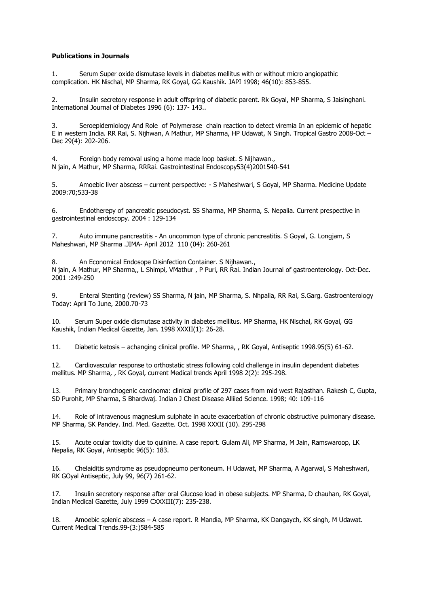## **Publications in Journals**

1. Serum Super oxide dismutase levels in diabetes mellitus with or without micro angiopathic complication. HK Nischal, MP Sharma, RK Goyal, GG Kaushik. JAPI 1998; 46(10): 853-855.

2. Insulin secretory response in adult offspring of diabetic parent. Rk Goyal, MP Sharma, S Jaisinghani. International Journal of Diabetes 1996 (6): 137- 143..

3. Seroepidemiology And Role of Polymerase chain reaction to detect viremia In an epidemic of hepatic E in western India. RR Rai, S. Nijhwan, A Mathur, MP Sharma, HP Udawat, N Singh. Tropical Gastro 2008-Oct – Dec 29(4): 202-206.

4. Foreign body removal using a home made loop basket. S Nijhawan., N jain, A Mathur, MP Sharma, RRRai. Gastrointestinal Endoscopy53(4)2001540-541

5. Amoebic liver abscess – current perspective: - S Maheshwari, S Goyal, MP Sharma. Medicine Update 2009:70;533-38

6. Endotherepy of pancreatic pseudocyst. SS Sharma, MP Sharma, S. Nepalia. Current prespective in gastrointestinal endoscopy. 2004 : 129-134

7. Auto immune pancreatitis - An uncommon type of chronic pancreatitis. S Goyal, G. Longjam, S Maheshwari, MP Sharma .JIMA- April 2012 110 (04): 260-261

8. An Economical Endosope Disinfection Container. S Nijhawan., N jain, A Mathur, MP Sharma,, L Shimpi, VMathur , P Puri, RR Rai. Indian Journal of gastroenterology. Oct-Dec. 2001 :249-250

9. Enteral Stenting (review) SS Sharma, N jain, MP Sharma, S. Nhpalia, RR Rai, S.Garg. Gastroenterology Today: April To June, 2000.70-73

10. Serum Super oxide dismutase activity in diabetes mellitus. MP Sharma, HK Nischal, RK Goyal, GG Kaushik, Indian Medical Gazette, Jan. 1998 XXXII(1): 26-28.

11. Diabetic ketosis – achanging clinical profile. MP Sharma, , RK Goyal, Antiseptic 1998.95(5) 61-62.

12. Cardiovascular response to orthostatic stress following cold challenge in insulin dependent diabetes mellitus. MP Sharma, , RK Goyal, current Medical trends April 1998 2(2): 295-298.

13. Primary bronchogenic carcinoma: clinical profile of 297 cases from mid west Rajasthan. Rakesh C, Gupta, SD Purohit, MP Sharma, S Bhardwaj. Indian J Chest Disease Alliied Science. 1998; 40: 109-116

14. Role of intravenous magnesium sulphate in acute exacerbation of chronic obstructive pulmonary disease. MP Sharma, SK Pandey. Ind. Med. Gazette. Oct. 1998 XXXII (10). 295-298

15. Acute ocular toxicity due to quinine. A case report. Gulam Ali, MP Sharma, M Jain, Ramswaroop, LK Nepalia, RK Goyal, Antiseptic 96(5): 183.

16. Chelaiditis syndrome as pseudopneumo peritoneum. H Udawat, MP Sharma, A Agarwal, S Maheshwari, RK GOyal Antiseptic, July 99, 96(7) 261-62.

17. Insulin secretory response after oral Glucose load in obese subjects. MP Sharma, D chauhan, RK Goyal, Indian Medical Gazette, July 1999 CXXXIII(7): 235-238.

18. Amoebic splenic abscess – A case report. R Mandia, MP Sharma, KK Dangaych, KK singh, M Udawat. Current Medical Trends.99-(3:)584-585